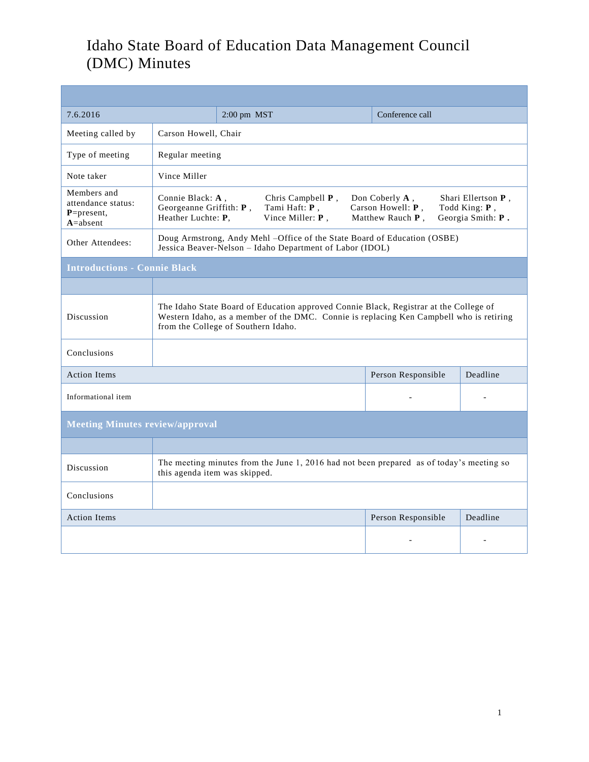## Idaho State Board of Education Data Management Council (DMC) Minutes

| 7.6.2016                                                            |                                                                                                                                                                                                                         | $2:00$ pm $MST$ |  |  | Conference call                                         |                                                          |  |
|---------------------------------------------------------------------|-------------------------------------------------------------------------------------------------------------------------------------------------------------------------------------------------------------------------|-----------------|--|--|---------------------------------------------------------|----------------------------------------------------------|--|
| Meeting called by                                                   | Carson Howell, Chair                                                                                                                                                                                                    |                 |  |  |                                                         |                                                          |  |
| Type of meeting                                                     | Regular meeting                                                                                                                                                                                                         |                 |  |  |                                                         |                                                          |  |
| Note taker                                                          | Vince Miller                                                                                                                                                                                                            |                 |  |  |                                                         |                                                          |  |
| Members and<br>attendance status:<br>$P = present,$<br>$A = absent$ | Connie Black: A.<br>Chris Campbell P,<br>Georgeanne Griffith: P,<br>Tami Haft: <b>P</b> ,<br>Heather Luchte: P,<br>Vince Miller: P,                                                                                     |                 |  |  | Don Coberly A,<br>Carson Howell: P.<br>Matthew Rauch P, | Shari Ellertson P,<br>Todd King: P,<br>Georgia Smith: P. |  |
| Other Attendees:                                                    | Doug Armstrong, Andy Mehl -Office of the State Board of Education (OSBE)<br>Jessica Beaver-Nelson - Idaho Department of Labor (IDOL)                                                                                    |                 |  |  |                                                         |                                                          |  |
| <b>Introductions - Connie Black</b>                                 |                                                                                                                                                                                                                         |                 |  |  |                                                         |                                                          |  |
|                                                                     |                                                                                                                                                                                                                         |                 |  |  |                                                         |                                                          |  |
| Discussion                                                          | The Idaho State Board of Education approved Connie Black, Registrar at the College of<br>Western Idaho, as a member of the DMC. Connie is replacing Ken Campbell who is retiring<br>from the College of Southern Idaho. |                 |  |  |                                                         |                                                          |  |
| Conclusions                                                         |                                                                                                                                                                                                                         |                 |  |  |                                                         |                                                          |  |
| <b>Action Items</b>                                                 |                                                                                                                                                                                                                         |                 |  |  | Person Responsible                                      | Deadline                                                 |  |
| Informational item                                                  |                                                                                                                                                                                                                         |                 |  |  |                                                         |                                                          |  |
| <b>Meeting Minutes review/approval</b>                              |                                                                                                                                                                                                                         |                 |  |  |                                                         |                                                          |  |
|                                                                     |                                                                                                                                                                                                                         |                 |  |  |                                                         |                                                          |  |
| Discussion                                                          | The meeting minutes from the June 1, 2016 had not been prepared as of today's meeting so<br>this agenda item was skipped.                                                                                               |                 |  |  |                                                         |                                                          |  |
| Conclusions                                                         |                                                                                                                                                                                                                         |                 |  |  |                                                         |                                                          |  |
| <b>Action Items</b>                                                 |                                                                                                                                                                                                                         |                 |  |  | Person Responsible                                      | Deadline                                                 |  |
|                                                                     |                                                                                                                                                                                                                         |                 |  |  |                                                         |                                                          |  |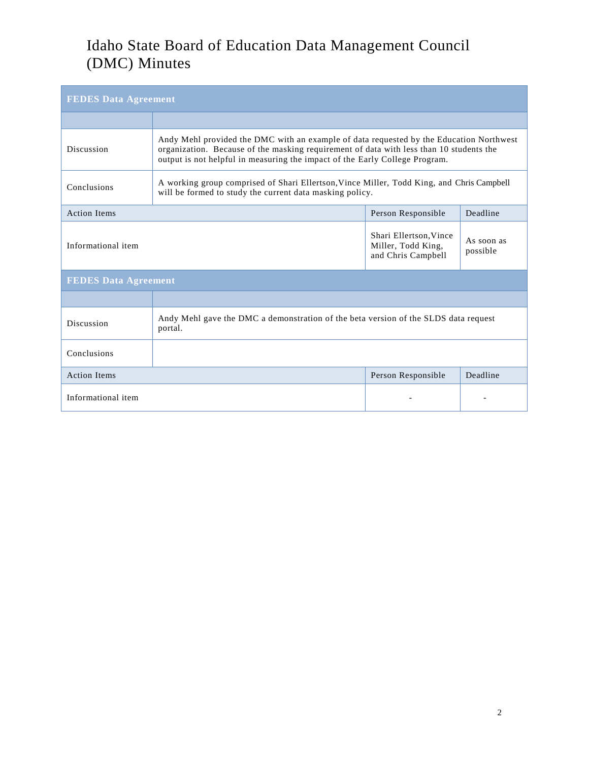## Idaho State Board of Education Data Management Council (DMC) Minutes

| <b>FEDES Data Agreement</b> |                                                                                                                                                                                                                                                                   |                                                                    |                        |  |  |  |
|-----------------------------|-------------------------------------------------------------------------------------------------------------------------------------------------------------------------------------------------------------------------------------------------------------------|--------------------------------------------------------------------|------------------------|--|--|--|
|                             |                                                                                                                                                                                                                                                                   |                                                                    |                        |  |  |  |
| Discussion                  | Andy Mehl provided the DMC with an example of data requested by the Education Northwest<br>organization. Because of the masking requirement of data with less than 10 students the<br>output is not helpful in measuring the impact of the Early College Program. |                                                                    |                        |  |  |  |
| Conclusions                 | A working group comprised of Shari Ellertson, Vince Miller, Todd King, and Chris Campbell<br>will be formed to study the current data masking policy.                                                                                                             |                                                                    |                        |  |  |  |
| <b>Action Items</b>         |                                                                                                                                                                                                                                                                   | Person Responsible                                                 | Deadline               |  |  |  |
| Informational item          |                                                                                                                                                                                                                                                                   | Shari Ellertson. Vince<br>Miller, Todd King,<br>and Chris Campbell | As soon as<br>possible |  |  |  |
| <b>FEDES Data Agreement</b> |                                                                                                                                                                                                                                                                   |                                                                    |                        |  |  |  |
|                             |                                                                                                                                                                                                                                                                   |                                                                    |                        |  |  |  |
| Discussion                  | Andy Mehl gave the DMC a demonstration of the beta version of the SLDS data request<br>portal.                                                                                                                                                                    |                                                                    |                        |  |  |  |
| Conclusions                 |                                                                                                                                                                                                                                                                   |                                                                    |                        |  |  |  |
| <b>Action Items</b>         |                                                                                                                                                                                                                                                                   | Person Responsible                                                 | Deadline               |  |  |  |
| Informational item          |                                                                                                                                                                                                                                                                   |                                                                    |                        |  |  |  |